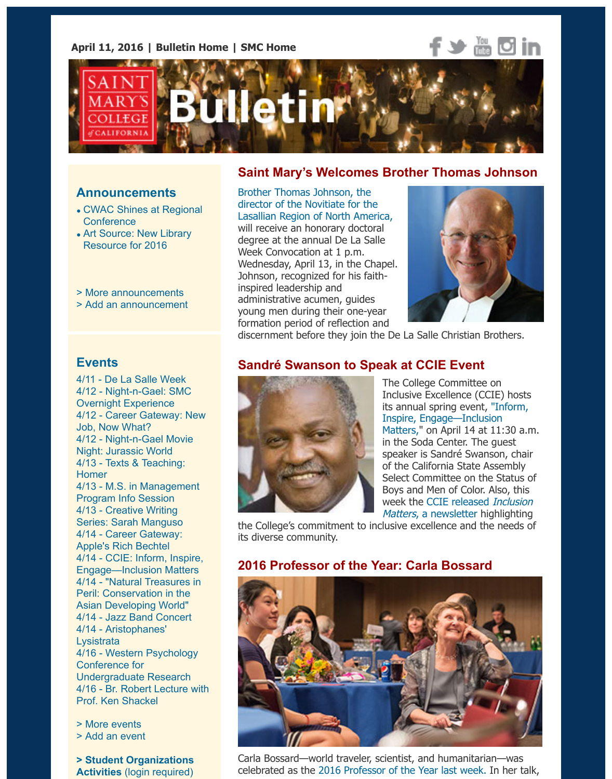

#### **Announcements**

- CWAC Shines at Regional **Conference**
- Art Source: New Library Resource for 2016
- > More announcements
- > [Add an announcement](https://www.stmarys-ca.edu/cwac-shines-at-regional-conference?utm_source=Bulletin&utm_medium=email&utm_content=announcement_test&utm_campaign=04-11-2016)

#### **Saint Mary's Welcomes Brother Thomas Johns**

Brother Thomas Johnson, the director of the Novitiate for the Lasallian Region of North America, will receive an honorary doctoral degree at the annual De La Salle Week Convocation at 1 p.m. Wednesday, April 13, in the Chapel. Johnson, recognized for his faithinspired leadership and administrative acumen, guides [young men during their one-year](http://www.stmarys-ca.edu/saint-marys-to-honor-noted-lasallian-educator-brother-thomas-johnson?utm_source=Bulletin&utm_medium=email&utm_content=feature_test&utm_campaign=04-11-2016) formation period of reflection and



discernment before they join the De La Salle Christian Brothers.

#### **[Events](https://www.stmarys-ca.edu/new-resources-from-the-library-for-2016-art-source?utm_source=Bulletin&utm_medium=email&utm_content=announcement_test&utm_campaign=04-11-2016)**

4/11 - De La Salle Week 4/12 - Night-n-Gael: SMC [Overnight Experience](http://www.stmarys-ca.edu/smc-bulletin/announcements?utm_source=Bulletin&utm_medium=email&utm_content=announcement_test&utm_campaign=01-19-2016) 4/12 [- Career Gateway: N](http://www.stmarys-ca.edu/node/add/announcement?utm_source=Bulletin&utm_medium=email&utm_content=announcement_test&utm_campaign=01-19-2016)ew Job, Now What? 4/12 - Night-n-Gael Movie Night: Jurassic World 4/13 - Texts & Teaching: Homer 4/13 - [M.S. in Manageme](https://www.stmarys-ca.edu/mission-ministry-center/de-la-salle-week-2016?utm_source=Bulletin&utm_medium=email&utm_content=event_test&utm_campaign=04-11-2016)nt Program Info Session [4/13 - Creative Writing](https://www.stmarys-ca.edu/night-n-gael-smc-overnight-experience-admitted-students-only?utm_source=Bulletin&utm_medium=email&utm_content=event_test&utm_campaign=04-11-2016) [Series: Sarah Manguso](https://www.stmarys-ca.edu/career-gateway-new-job-now-what?utm_source=Bulletin&utm_medium=email&utm_content=event_test&utm_campaign=04-11-2016) 4/14 - Career Gateway: Apple's Rich Bechtel [4/14 - CCIE: Inform, Inspir](https://www.stmarys-ca.edu/night-n-gael-movie-night-showing-jurassic-world?utm_source=Bulletin&utm_medium=email&utm_content=event_test&utm_campaign=04-11-2016)e, [Engage—Inclusion Matte](https://www.stmarys-ca.edu/texts-teaching-homer-sem-102?utm_source=Bulletin&utm_medium=email&utm_content=event_test&utm_campaign=04-11-2016)rs 4/14 - "Natural Treasures in [Peril: Conservation in the](https://www.stmarys-ca.edu/new-program-ms-in-management-program?utm_source=Bulletin&utm_medium=email&utm_content=event_test&utm_campaign=04-11-2016) Asian Developing World" [4/14 - Jazz Band Conce](https://www.stmarys-ca.edu/creative-writing-reading-series-with-sarah-manguso?utm_source=Bulletin&utm_medium=email&utm_content=event_test&utm_campaign=04-11-2016)rt 4/14 - Aristophanes' **Lysistrata** [4/16 - Western Psycholo](https://www.stmarys-ca.edu/career-gateway-dinner-dialogue-with-rich-bechtel-apple-inc?utm_source=Bulletin&utm_medium=email&utm_content=event_test&utm_campaign=04-11-2016)gy Conference for [Undergraduate Research](https://www.stmarys-ca.edu/inform-inspire-engage-inclusion-matters?utm_source=Bulletin&utm_medium=email&utm_content=event_test&utm_campaign=04-11-2016) [4/16 - Br. Robert Lecture wit](https://www.stmarys-ca.edu/conservation-natural-treasures-in-peril-joining-hands-for-conservation-in-the-asian-developing-world?utm_source=Bulletin&utm_medium=email&utm_content=event_test&utm_campaign=04-11-2016)h Prof. Ken Shackel

> Mor[e events](https://www.stmarys-ca.edu/jazz-band-concert-1?utm_source=Bulletin&utm_medium=email&utm_content=event_test&utm_campaign=04-11-2016) [> Add an event](https://www.stmarys-ca.edu/theatrical-production-of-aristophanes-lysistrata?utm_source=Bulletin&utm_medium=email&utm_content=event_test&utm_campaign=04-11-2016)

**[> Student Organizations](https://www.stmarys-ca.edu/wpcur-western-psychology-conference-for-undergraduate-research?utm_source=Bulletin&utm_medium=email&utm_content=event_test&utm_campaign=04-11-2016) Activities** (login required)

# **Sandré Swanson to Speak at CCIE Event**



The College Committee on Inclusive Excellence (CCIE) host its annual spring event, "Inforr Inspire, Engage—Inclusion Matters," on April 14 at 11:30 in the Soda Center. The guest speaker is Sandré Swanson, ch of the California State Assembl Select Committee on the Statu Boys and Men of Color. Also, th week the CCIE released Inclus Matters, a newsletter highlight

the College's commitment to inclusive excellence and the need its diverse community.

# **2016 Professor of the Year: Carla Bossard**



Carla Bossard-world traveler, scientist, and humanitarian-was celebrated as the 2016 Professor of the Year last week. In her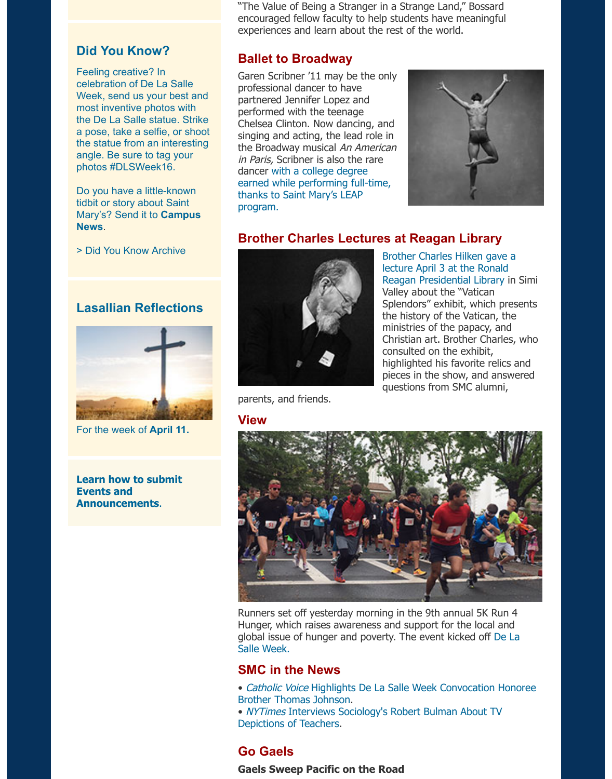most inventive photos with the De La Salle statue. Strike a pose, take a selfie, or shoot the statue from an interesting angle. Be sure to tag your photos #DLSWeek16.

Do you have a little-known tidbit or story about Saint Mary's? Send it to **Campus News**.

> Did You Know Archive

# **Lasallian Reflections**



For the week of **April 11.**

**Learn how to submit Events and Announcements**.

performed with the teenage Chelsea Clinton. Now dancing, and singing and acting, the lead role in the Broadway musical An American in Paris, Scribner is also the rare dancer with a college degree earned while performing full-time, thanks to Saint Mary's LEAP program.



# **Brother Charles Lectures at Reagan Library**



Brother Charles Hilken gave a lecture April 3 at the Ronald [Re](https://www.stmarys-ca.edu/ballet-to-broadway?utm_source=Bulletin&utm_medium=email&utm_content=feature_test&utm_campaign=04-11-2016)agan Presidential Library in Valley about the "Vatican Splendors" exhibit, which prese the history of the Vatican, the ministries of the papacy, and Christian art. Brother Charles, consulted on the exhibit, [highlighted his favorite relics a](https://cumminsinstitute.com/2016/03/08/vatican-splendors-a-journey-through-faith-and-art?utm_source=Bulletin&utm_medium=email&utm_content=feature_test&utm_campaign=04-11-2016) pieces in the show, and answe questions from SMC alumni,

parents, and friends.

#### **View**



Runners set off yesterday morning in the 9th annual 5K Run 4 Hunger, which raises awareness and support for the local and global issue of hunger and poverty. The event kicked off De La Salle Week.

## **SMC in the News**

- Catholic Voice Highlights De La Salle Week Convocation Honor Brother Thomas Johnson.
- NYTimes Interviews Sociology's Robert Bulman About TV Depictions of Teachers.

## **[Go Gaels](http://www.stmarys-ca.edu/mission-ministry-center/de-la-salle-week-2016?utm_source=Bulletin&utm_medium=email&utm_content=feature_test&utm_campaign=04-11-2016)**

**Gaels Sweep Pacific on the Road**